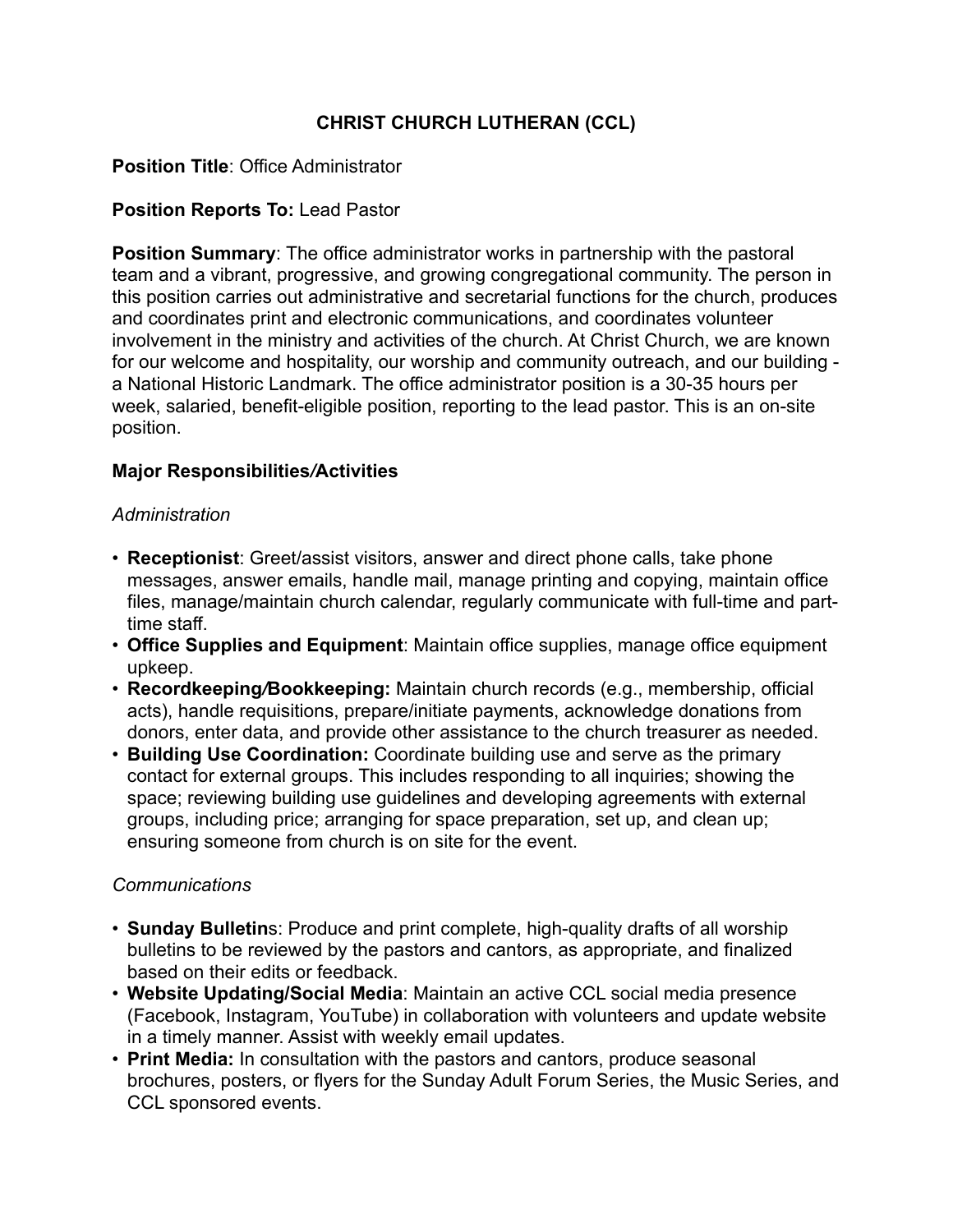# **CHRIST CHURCH LUTHERAN (CCL)**

# **Position Title**: Office Administrator

# **Position Reports To:** Lead Pastor

**Position Summary**: The office administrator works in partnership with the pastoral team and a vibrant, progressive, and growing congregational community. The person in this position carries out administrative and secretarial functions for the church, produces and coordinates print and electronic communications, and coordinates volunteer involvement in the ministry and activities of the church. At Christ Church, we are known for our welcome and hospitality, our worship and community outreach, and our building a National Historic Landmark. The office administrator position is a 30-35 hours per week, salaried, benefit-eligible position, reporting to the lead pastor. This is an on-site position.

### **Major Responsibilities***/***Activities**

#### *Administration*

- **Receptionist**: Greet/assist visitors, answer and direct phone calls, take phone messages, answer emails, handle mail, manage printing and copying, maintain office files, manage/maintain church calendar, regularly communicate with full-time and parttime staff.
- **Office Supplies and Equipment**: Maintain office supplies, manage office equipment upkeep.
- **Recordkeeping***/***Bookkeeping:** Maintain church records (e.g., membership, official acts), handle requisitions, prepare/initiate payments, acknowledge donations from donors, enter data, and provide other assistance to the church treasurer as needed.
- **Building Use Coordination:** Coordinate building use and serve as the primary contact for external groups. This includes responding to all inquiries; showing the space; reviewing building use guidelines and developing agreements with external groups, including price; arranging for space preparation, set up, and clean up; ensuring someone from church is on site for the event.

### *Communications*

- **Sunday Bulletin**s: Produce and print complete, high-quality drafts of all worship bulletins to be reviewed by the pastors and cantors, as appropriate, and finalized based on their edits or feedback.
- **Website Updating/Social Media**: Maintain an active CCL social media presence (Facebook, Instagram, YouTube) in collaboration with volunteers and update website in a timely manner. Assist with weekly email updates.
- **Print Media:** In consultation with the pastors and cantors, produce seasonal brochures, posters, or flyers for the Sunday Adult Forum Series, the Music Series, and CCL sponsored events.